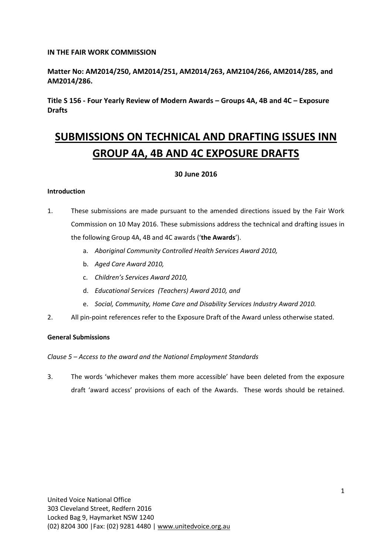# **IN THE FAIR WORK COMMISSION**

**Matter No: AM2014/250, AM2014/251, AM2014/263, AM2104/266, AM2014/285, and AM2014/286.**

**Title S 156 - Four Yearly Review of Modern Awards – Groups 4A, 4B and 4C – Exposure Drafts**

# **SUBMISSIONS ON TECHNICAL AND DRAFTING ISSUES INN GROUP 4A, 4B AND 4C EXPOSURE DRAFTS**

## **30 June 2016**

## **Introduction**

- 1. These submissions are made pursuant to the amended directions issued by the Fair Work Commission on 10 May 2016. These submissions address the technical and drafting issues in the following Group 4A, 4B and 4C awards ('**the Awards**').
	- a. *Aboriginal Community Controlled Health Services Award 2010,*
	- b. *Aged Care Award 2010,*
	- c. *Children's Services Award 2010,*
	- d. *Educational Services (Teachers) Award 2010, and*
	- e. *Social, Community, Home Care and Disability Services Industry Award 2010.*
- 2. All pin-point references refer to the Exposure Draft of the Award unless otherwise stated.

## **General Submissions**

*Clause 5 – Access to the award and the National Employment Standards*

3. The words 'whichever makes them more accessible' have been deleted from the exposure draft 'award access' provisions of each of the Awards. These words should be retained.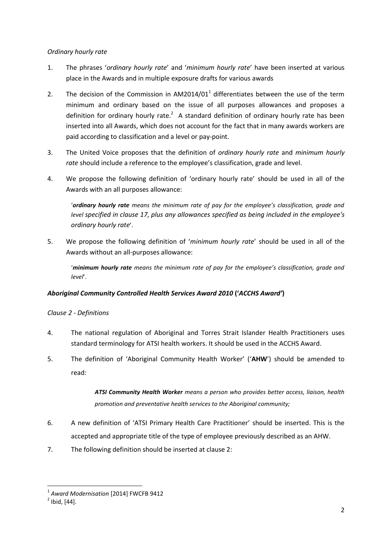# *Ordinary hourly rate*

- 1. The phrases '*ordinary hourly rate*' and '*minimum hourly rate*' have been inserted at various place in the Awards and in multiple exposure drafts for various awards
- 2. The decision of the Commission in  $AM2014/01<sup>1</sup>$  differentiates between the use of the term minimum and ordinary based on the issue of all purposes allowances and proposes a definition for ordinary hourly rate. $^2$  A standard definition of ordinary hourly rate has been inserted into all Awards, which does not account for the fact that in many awards workers are paid according to classification and a level or pay-point.
- 3. The United Voice proposes that the definition of *ordinary hourly rate* and *minimum hourly rate* should include a reference to the employee's classification, grade and level.
- 4. We propose the following definition of 'ordinary hourly rate' should be used in all of the Awards with an all purposes allowance:

'*ordinary hourly rate means the minimum rate of pay for the employee's classification, grade and level specified in clause 17, plus any allowances specified as being included in the employee's ordinary hourly rate*'.

5. We propose the following definition of '*minimum hourly rate*' should be used in all of the Awards without an all-purposes allowance:

'*minimum hourly rate means the minimum rate of pay for the employee's classification, grade and level*'.

# *Aboriginal Community Controlled Health Services Award 2010* **('***ACCHS Award'***)**

# *Clause 2 - Definitions*

- 4. The national regulation of Aboriginal and Torres Strait Islander Health Practitioners uses standard terminology for ATSI health workers. It should be used in the ACCHS Award.
- 5. The definition of 'Aboriginal Community Health Worker' ('**AHW**') should be amended to read:

*ATSI Community Health Worker means a person who provides better access, liaison, health promotion and preventative health services to the Aboriginal community;*

- 6. A new definition of 'ATSI Primary Health Care Practitioner' should be inserted. This is the accepted and appropriate title of the type of employee previously described as an AHW.
- 7. The following definition should be inserted at clause 2:

**.** 

<sup>1</sup> *Award Modernisation* [2014] FWCFB 9412

 $<sup>2</sup>$  Ibid, [44].</sup>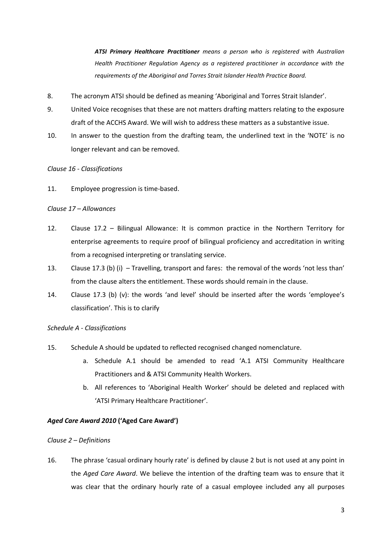*ATSI Primary Healthcare Practitioner means a person who is registered with Australian Health Practitioner Regulation Agency as a registered practitioner in accordance with the requirements of the Aboriginal and Torres Strait Islander Health Practice Board.*

- 8. The acronym ATSI should be defined as meaning 'Aboriginal and Torres Strait Islander'.
- 9. United Voice recognises that these are not matters drafting matters relating to the exposure draft of the ACCHS Award. We will wish to address these matters as a substantive issue.
- 10. In answer to the question from the drafting team, the underlined text in the 'NOTE' is no longer relevant and can be removed.

## *Clause 16 - Classifications*

11. Employee progression is time-based.

## *Clause 17 – Allowances*

- 12. Clause 17.2 Bilingual Allowance: It is common practice in the Northern Territory for enterprise agreements to require proof of bilingual proficiency and accreditation in writing from a recognised interpreting or translating service.
- 13. Clause 17.3 (b) (i) Travelling, transport and fares: the removal of the words 'not less than' from the clause alters the entitlement. These words should remain in the clause.
- 14. Clause 17.3 (b) (v): the words 'and level' should be inserted after the words 'employee's classification'. This is to clarify

## *Schedule A - Classifications*

- 15. Schedule A should be updated to reflected recognised changed nomenclature.
	- a. Schedule A.1 should be amended to read 'A.1 ATSI Community Healthcare Practitioners and & ATSI Community Health Workers.
	- b. All references to 'Aboriginal Health Worker' should be deleted and replaced with 'ATSI Primary Healthcare Practitioner'.

## *Aged Care Award 2010* **('Aged Care Award')**

#### *Clause 2 – Definitions*

16. The phrase 'casual ordinary hourly rate' is defined by clause 2 but is not used at any point in the *Aged Care Award*. We believe the intention of the drafting team was to ensure that it was clear that the ordinary hourly rate of a casual employee included any all purposes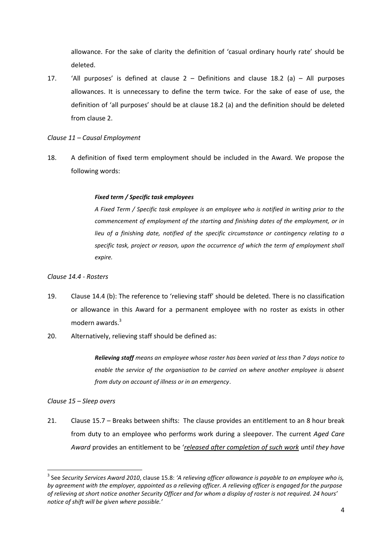allowance. For the sake of clarity the definition of 'casual ordinary hourly rate' should be deleted.

17. 'All purposes' is defined at clause  $2 -$  Definitions and clause 18.2 (a) – All purposes allowances. It is unnecessary to define the term twice. For the sake of ease of use, the definition of 'all purposes' should be at clause 18.2 (a) and the definition should be deleted from clause 2.

## *Clause 11 – Causal Employment*

18. A definition of fixed term employment should be included in the Award. We propose the following words:

### *Fixed term / Specific task employees*

*A Fixed Term / Specific task employee is an employee who is notified in writing prior to the commencement of employment of the starting and finishing dates of the employment, or in lieu of a finishing date, notified of the specific circumstance or contingency relating to a specific task, project or reason, upon the occurrence of which the term of employment shall expire.*

#### *Clause 14.4 - Rosters*

- 19. Clause 14.4 (b): The reference to 'relieving staff' should be deleted. There is no classification or allowance in this Award for a permanent employee with no roster as exists in other modern awards.<sup>3</sup>
- 20. Alternatively, relieving staff should be defined as:

*Relieving staff means an employee whose roster has been varied at less than 7 days notice to enable the service of the organisation to be carried on where another employee is absent from duty on account of illness or in an emergency*.

#### *Clause 15 – Sleep overs*

**.** 

21. Clause 15.7 – Breaks between shifts: The clause provides an entitlement to an 8 hour break from duty to an employee who performs work during a sleepover. The current *Aged Care Award* provides an entitlement to be '*released after completion of such work until they have* 

<sup>3</sup> See *Security Services Award 2010*, clause 15.8: *'A relieving officer allowance is payable to an employee who is, by agreement with the employer, appointed as a relieving officer. A relieving officer is engaged for the purpose of relieving at short notice another Security Officer and for whom a display of roster is not required. 24 hours' notice of shift will be given where possible.'*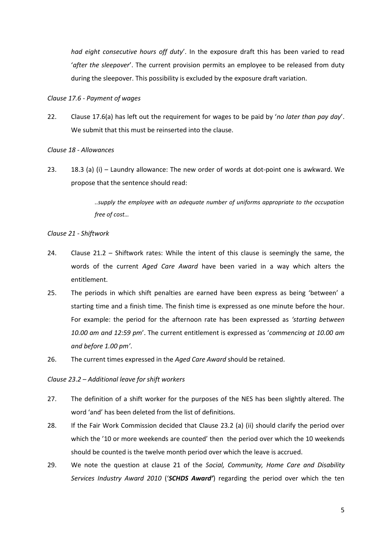*had eight consecutive hours off duty*'. In the exposure draft this has been varied to read '*after the sleepover*'. The current provision permits an employee to be released from duty during the sleepover. This possibility is excluded by the exposure draft variation.

*Clause 17.6 - Payment of wages*

22. Clause 17.6(a) has left out the requirement for wages to be paid by '*no later than pay day*'. We submit that this must be reinserted into the clause.

*Clause 18 - Allowances*

23. 18.3 (a) (i) – Laundry allowance: The new order of words at dot-point one is awkward. We propose that the sentence should read:

> *..supply the employee with an adequate number of uniforms appropriate to the occupation free of cost…*

*Clause 21 - Shiftwork*

- 24. Clause 21.2 Shiftwork rates: While the intent of this clause is seemingly the same, the words of the current *Aged Care Award* have been varied in a way which alters the entitlement.
- 25. The periods in which shift penalties are earned have been express as being 'between' a starting time and a finish time. The finish time is expressed as one minute before the hour. For example: the period for the afternoon rate has been expressed as *'starting between 10.00 am and 12:59 pm*'. The current entitlement is expressed as '*commencing at 10.00 am and before 1.00 pm'*.
- 26. The current times expressed in the *Aged Care Award* should be retained.

*Clause 23*.*2 – Additional leave for shift workers*

- 27. The definition of a shift worker for the purposes of the NES has been slightly altered. The word 'and' has been deleted from the list of definitions.
- 28. If the Fair Work Commission decided that Clause 23.2 (a) (ii) should clarify the period over which the '10 or more weekends are counted' then the period over which the 10 weekends should be counted is the twelve month period over which the leave is accrued.
- 29. We note the question at clause 21 of the *Social, Community, Home Care and Disability Services Industry Award 2010* ('*SCHDS Award'*) regarding the period over which the ten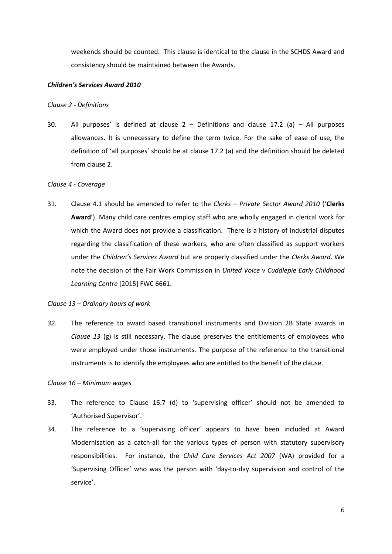weekends should be counted. This clause is identical to the clause in the SCHDS Award and consistency should be maintained between the Awards.

#### *Children's Services Award 2010*

#### *Clause 2 - Definitions*

30. All purposes' is defined at clause  $2$  – Definitions and clause 17.2 (a) – All purposes allowances. It is unnecessary to define the term twice. For the sake of ease of use, the definition of 'all purposes' should be at clause 17.2 (a) and the definition should be deleted from clause 2.

#### *Clause 4 - Coverage*

31. Clause 4.1 should be amended to refer to the *Clerks – Private Sector Award 2010* ('**Clerks Award**'). Many child care centres employ staff who are wholly engaged in clerical work for which the Award does not provide a classification. There is a history of industrial disputes regarding the classification of these workers, who are often classified as support workers under the *Children's Services Award* but are properly classified under the *Clerks Award*. We note the decision of the Fair Work Commission in *United Voice v Cuddlepie Early Childhood Learning Centre* [2015] FWC 6661.

#### *Clause 13 – Ordinary hours of work*

*32.* The reference to award based transitional instruments and Division 2B State awards in *Clause 13* (g) is still necessary. The clause preserves the entitlements of employees who were employed under those instruments. The purpose of the reference to the transitional instruments is to identify the employees who are entitled to the benefit of the clause.

#### *Clause 16 – Minimum wages*

- 33. The reference to Clause 16.7 (d) to 'supervising officer' should not be amended to 'Authorised Supervisor'.
- 34. The reference to a 'supervising officer' appears to have been included at Award Modernisation as a catch-all for the various types of person with statutory supervisory responsibilities. For instance, the *Child Care Services Act 2007* (WA) provided for a 'Supervising Officer' who was the person with 'day-to-day supervision and control of the service'.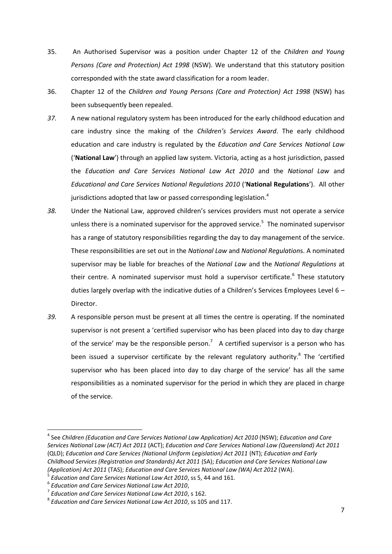- 35. An Authorised Supervisor was a position under Chapter 12 of the *Children and Young Persons (Care and Protection) Act 1998* (NSW). We understand that this statutory position corresponded with the state award classification for a room leader.
- 36. Chapter 12 of the *Children and Young Persons (Care and Protection) Act 1998* (NSW) has been subsequently been repealed.
- *37.* A new national regulatory system has been introduced for the early childhood education and care industry since the making of the *Children's Services Award*. The early childhood education and care industry is regulated by the *Education and Care Services National Law* ('**National Law**') through an applied law system. Victoria, acting as a host jurisdiction, passed the *Education and Care Services National Law Act 2010* and the *National Law* and *Educational and Care Services National Regulations 2010* ('**National Regulations**'). All other jurisdictions adopted that law or passed corresponding legislation. $4$
- *38.* Under the National Law, approved children's services providers must not operate a service unless there is a nominated supervisor for the approved service.<sup>5</sup> The nominated supervisor has a range of statutory responsibilities regarding the day to day management of the service. These responsibilities are set out in the *National Law* and *National Regulation*s. A nominated supervisor may be liable for breaches of the *National Law* and the *National Regulations* at their centre. A nominated supervisor must hold a supervisor certificate.<sup>6</sup> These statutory duties largely overlap with the indicative duties of a Children's Services Employees Level 6 – Director.
- *39.* A responsible person must be present at all times the centre is operating. If the nominated supervisor is not present a 'certified supervisor who has been placed into day to day charge of the service' may be the responsible person.<sup>7</sup> A certified supervisor is a person who has been issued a supervisor certificate by the relevant regulatory authority.<sup>8</sup> The 'certified supervisor who has been placed into day to day charge of the service' has all the same responsibilities as a nominated supervisor for the period in which they are placed in charge of the service.

**.** 

<sup>&</sup>lt;sup>4</sup> See Children (Education and Care Services National Law Application) Act 2010 (NSW); Education and Care *Services National Law (ACT) Act 2011* (ACT); *Education and Care Services National Law (Queensland) Act 2011*  (QLD); *Education and Care Services (National Uniform Legislation) Act 2011* (NT); *Education and Early Childhood Services (Registration and Standards) Act 2011* (SA); *Education and Care Services National Law (Application) Act 2011* (TAS); *Education and Care Services National Law (WA) Act 2012* (WA).

<sup>5</sup> *Education and Care Services National Law Act 2010*, ss 5, 44 and 161.

<sup>6</sup> *Education and Care Services National Law Act 2010*,

<sup>7</sup> *Education and Care Services National Law Act 2010*, s 162.

<sup>8</sup> *Education and Care Services National Law Act 2010*, ss 105 and 117.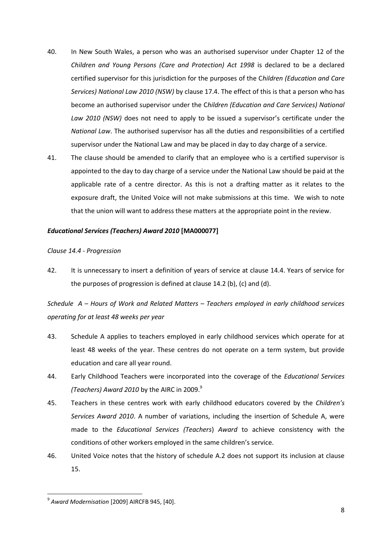- 40. In New South Wales, a person who was an authorised supervisor under Chapter 12 of the *Children and Young Persons (Care and Protection) Act 1998* is declared to be a declared certified supervisor for this jurisdiction for the purposes of the C*hildren (Education and Care Services) National Law 2010 (NSW)* by clause 17.4. The effect of this is that a person who has become an authorised supervisor under the C*hildren (Education and Care Services) National Law 2010 (NSW)* does not need to apply to be issued a supervisor's certificate under the *National Law*. The authorised supervisor has all the duties and responsibilities of a certified supervisor under the National Law and may be placed in day to day charge of a service.
- 41. The clause should be amended to clarify that an employee who is a certified supervisor is appointed to the day to day charge of a service under the National Law should be paid at the applicable rate of a centre director. As this is not a drafting matter as it relates to the exposure draft, the United Voice will not make submissions at this time. We wish to note that the union will want to address these matters at the appropriate point in the review.

## *Educational Services (Teachers) Award 2010* **[MA000077]**

## *Clause 14.4 - Progression*

42. It is unnecessary to insert a definition of years of service at clause 14.4. Years of service for the purposes of progression is defined at clause 14.2 (b), (c) and (d).

*Schedule A – Hours of Work and Related Matters – Teachers employed in early childhood services operating for at least 48 weeks per year*

- 43. Schedule A applies to teachers employed in early childhood services which operate for at least 48 weeks of the year. These centres do not operate on a term system, but provide education and care all year round.
- 44. Early Childhood Teachers were incorporated into the coverage of the *Educational Services (Teachers) Award 2010 by the AIRC in 2009.*<sup>9</sup>
- 45. Teachers in these centres work with early childhood educators covered by the *Children's Services Award 2010*. A number of variations, including the insertion of Schedule A, were made to the *Educational Services (Teachers*) *Award* to achieve consistency with the conditions of other workers employed in the same children's service.
- 46. United Voice notes that the history of schedule A.2 does not support its inclusion at clause 15.

**.** 

<sup>9</sup> *Award Modernisation* [2009] AIRCFB 945, [40].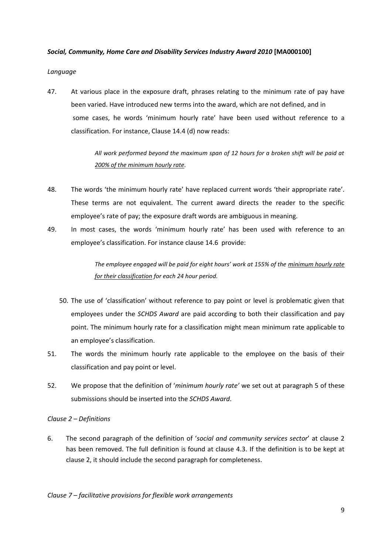## *Social, Community, Home Care and Disability Services Industry Award 2010* **[MA000100]**

## *Language*

47. At various place in the exposure draft, phrases relating to the minimum rate of pay have been varied. Have introduced new terms into the award, which are not defined, and in some cases, he words 'minimum hourly rate' have been used without reference to a classification. For instance, Clause 14.4 (d) now reads:

> *All work performed beyond the maximum span of 12 hours for a broken shift will be paid at 200% of the minimum hourly rate.*

- 48. The words 'the minimum hourly rate' have replaced current words 'their appropriate rate'. These terms are not equivalent. The current award directs the reader to the specific employee's rate of pay; the exposure draft words are ambiguous in meaning.
- 49. In most cases, the words 'minimum hourly rate' has been used with reference to an employee's classification. For instance clause 14.6 provide:

*The employee engaged will be paid for eight hours' work at 155% of the minimum hourly rate for their classification for each 24 hour period.*

- 50. The use of 'classification' without reference to pay point or level is problematic given that employees under the *SCHDS Award* are paid according to both their classification and pay point. The minimum hourly rate for a classification might mean minimum rate applicable to an employee's classification.
- 51. The words the minimum hourly rate applicable to the employee on the basis of their classification and pay point or level.
- 52. We propose that the definition of '*minimum hourly rate'* we set out at paragraph 5 of these submissions should be inserted into the *SCHDS Award*.

## *Clause 2 – Definitions*

6. The second paragraph of the definition of '*social and community services sector*' at clause 2 has been removed. The full definition is found at clause 4.3. If the definition is to be kept at clause 2, it should include the second paragraph for completeness.

*Clause 7 – facilitative provisions for flexible work arrangements*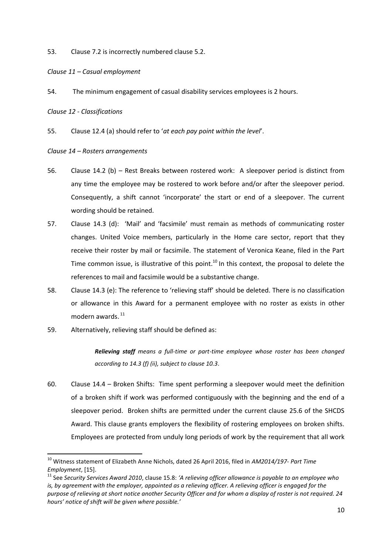53. Clause 7.2 is incorrectly numbered clause 5.2.

*Clause 11 – Casual employment*

54. The minimum engagement of casual disability services employees is 2 hours.

*Clause 12 - Classifications*

**.** 

55. Clause 12.4 (a) should refer to '*at each pay point within the level*'.

*Clause 14 – Rosters arrangements*

- 56. Clause 14.2 (b) Rest Breaks between rostered work: A sleepover period is distinct from any time the employee may be rostered to work before and/or after the sleepover period. Consequently, a shift cannot 'incorporate' the start or end of a sleepover. The current wording should be retained.
- 57. Clause 14.3 (d): 'Mail' and 'facsimile' must remain as methods of communicating roster changes. United Voice members, particularly in the Home care sector, report that they receive their roster by mail or facsimile. The statement of Veronica Keane, filed in the Part Time common issue, is illustrative of this point.<sup>10</sup> In this context, the proposal to delete the references to mail and facsimile would be a substantive change.
- 58. Clause 14.3 (e): The reference to 'relieving staff' should be deleted. There is no classification or allowance in this Award for a permanent employee with no roster as exists in other modern awards. 11
- 59. Alternatively, relieving staff should be defined as:

*Relieving staff means a full-time or part-time employee whose roster has been changed according to 14.3 (f) (ii), subject to clause 10.3*.

60. Clause 14.4 – Broken Shifts: Time spent performing a sleepover would meet the definition of a broken shift if work was performed contiguously with the beginning and the end of a sleepover period. Broken shifts are permitted under the current clause 25.6 of the SHCDS Award. This clause grants employers the flexibility of rostering employees on broken shifts. Employees are protected from unduly long periods of work by the requirement that all work

<sup>10</sup> Witness statement of Elizabeth Anne Nichols, dated 26 April 2016, filed in *AM2014/197*- *Part Time Employment*, [15].

<sup>11</sup> See *Security Services Award 2010*, clause 15.8: *'A relieving officer allowance is payable to an employee who is, by agreement with the employer, appointed as a relieving officer. A relieving officer is engaged for the purpose of relieving at short notice another Security Officer and for whom a display of roster is not required. 24 hours' notice of shift will be given where possible.'*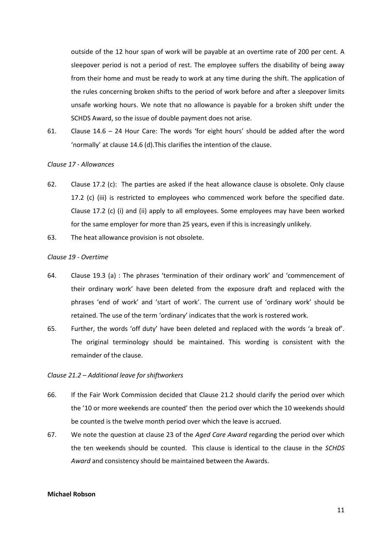outside of the 12 hour span of work will be payable at an overtime rate of 200 per cent. A sleepover period is not a period of rest. The employee suffers the disability of being away from their home and must be ready to work at any time during the shift. The application of the rules concerning broken shifts to the period of work before and after a sleepover limits unsafe working hours. We note that no allowance is payable for a broken shift under the SCHDS Award, so the issue of double payment does not arise.

61. Clause 14.6 – 24 Hour Care: The words 'for eight hours' should be added after the word 'normally' at clause 14.6 (d).This clarifies the intention of the clause.

#### *Clause 17 - Allowances*

- 62. Clause 17.2 (c): The parties are asked if the heat allowance clause is obsolete. Only clause 17.2 (c) (iii) is restricted to employees who commenced work before the specified date. Clause 17.2 (c) (i) and (ii) apply to all employees. Some employees may have been worked for the same employer for more than 25 years, even if this is increasingly unlikely.
- 63. The heat allowance provision is not obsolete.

## *Clause 19 - Overtime*

- 64. Clause 19.3 (a) : The phrases 'termination of their ordinary work' and 'commencement of their ordinary work' have been deleted from the exposure draft and replaced with the phrases 'end of work' and 'start of work'. The current use of 'ordinary work' should be retained. The use of the term 'ordinary' indicates that the work is rostered work.
- 65. Further, the words 'off duty' have been deleted and replaced with the words 'a break of'. The original terminology should be maintained. This wording is consistent with the remainder of the clause.

#### *Clause 21.2 – Additional leave for shiftworkers*

- 66. If the Fair Work Commission decided that Clause 21.2 should clarify the period over which the '10 or more weekends are counted' then the period over which the 10 weekends should be counted is the twelve month period over which the leave is accrued.
- 67. We note the question at clause 23 of the *Aged Care Award* regarding the period over which the ten weekends should be counted. This clause is identical to the clause in the *SCHDS Award* and consistency should be maintained between the Awards.

#### **Michael Robson**